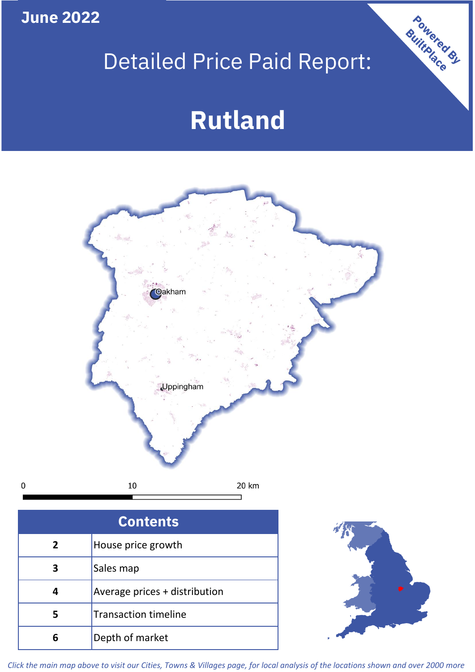**June 2022**

 $\pmb{0}$ 

# Detailed Price Paid Report:

# **Rutland**



| <b>Contents</b> |                               |  |  |
|-----------------|-------------------------------|--|--|
| $\overline{2}$  | House price growth            |  |  |
|                 | Sales map                     |  |  |
|                 | Average prices + distribution |  |  |
|                 | <b>Transaction timeline</b>   |  |  |
|                 | Depth of market               |  |  |



Powered By

*Click the main map above to visit our Cities, Towns & Villages page, for local analysis of the locations shown and over 2000 more*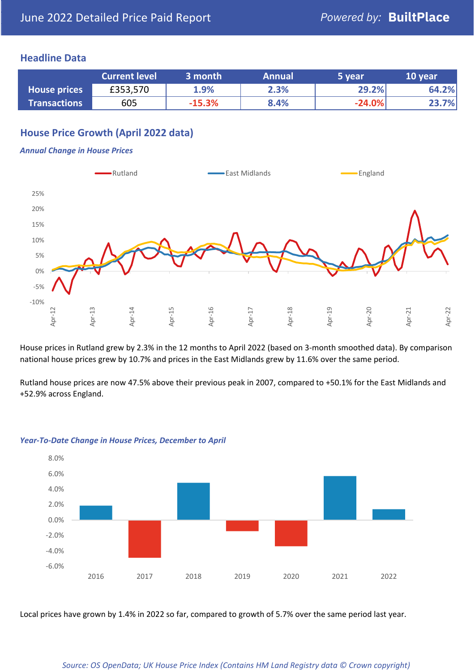# **Headline Data**

|                     | <b>Current level</b> | 3 month  | <b>Annual</b> | 5 year   | 10 year |
|---------------------|----------------------|----------|---------------|----------|---------|
| <b>House prices</b> | £353,570             | 1.9%     | 2.3%          | 29.2%    | 64.2%   |
| <b>Transactions</b> | 605                  | $-15.3%$ | 8.4%          | $-24.0%$ | 23.7%   |

# **House Price Growth (April 2022 data)**

#### *Annual Change in House Prices*



House prices in Rutland grew by 2.3% in the 12 months to April 2022 (based on 3-month smoothed data). By comparison national house prices grew by 10.7% and prices in the East Midlands grew by 11.6% over the same period.

Rutland house prices are now 47.5% above their previous peak in 2007, compared to +50.1% for the East Midlands and +52.9% across England.



#### *Year-To-Date Change in House Prices, December to April*

Local prices have grown by 1.4% in 2022 so far, compared to growth of 5.7% over the same period last year.

#### *Source: OS OpenData; UK House Price Index (Contains HM Land Registry data © Crown copyright)*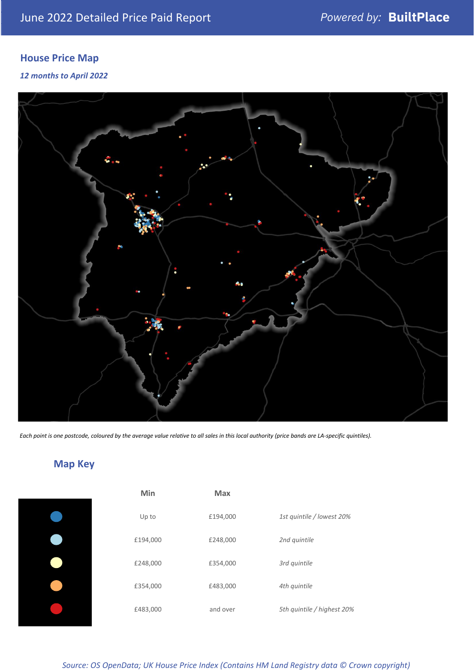# **House Price Map**

## *12 months to April 2022*



*Each point is one postcode, coloured by the average value relative to all sales in this local authority (price bands are LA-specific quintiles).*

# **Map Key**

| Min      | <b>Max</b> |                            |
|----------|------------|----------------------------|
| Up to    | £194,000   | 1st quintile / lowest 20%  |
| £194,000 | £248,000   | 2nd quintile               |
| £248,000 | £354,000   | 3rd quintile               |
| £354,000 | £483,000   | 4th quintile               |
| £483,000 | and over   | 5th quintile / highest 20% |

*Source: OS OpenData; UK House Price Index (Contains HM Land Registry data © Crown copyright)*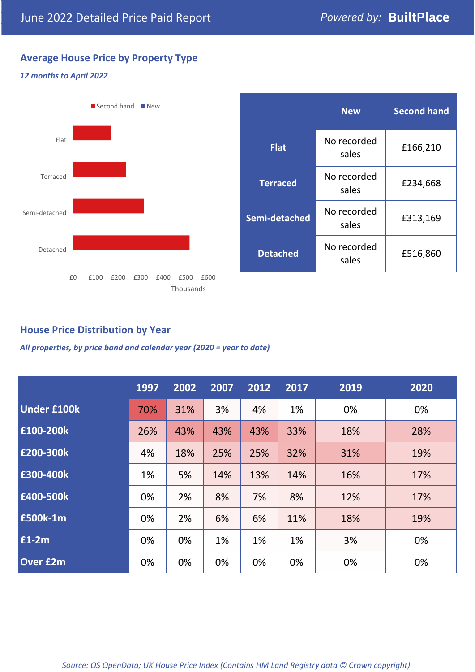# **Average House Price by Property Type**

### *12 months to April 2022*



|                 | <b>New</b>           | <b>Second hand</b> |  |
|-----------------|----------------------|--------------------|--|
| <b>Flat</b>     | No recorded<br>sales | £166,210           |  |
| <b>Terraced</b> | No recorded<br>sales | £234,668           |  |
| Semi-detached   | No recorded<br>sales | £313,169           |  |
| <b>Detached</b> | No recorded<br>sales | £516,860           |  |

# **House Price Distribution by Year**

*All properties, by price band and calendar year (2020 = year to date)*

|                    | 1997 | 2002 | 2007 | 2012 | 2017 | 2019 | 2020 |
|--------------------|------|------|------|------|------|------|------|
| <b>Under £100k</b> | 70%  | 31%  | 3%   | 4%   | 1%   | 0%   | 0%   |
| £100-200k          | 26%  | 43%  | 43%  | 43%  | 33%  | 18%  | 28%  |
| E200-300k          | 4%   | 18%  | 25%  | 25%  | 32%  | 31%  | 19%  |
| £300-400k          | 1%   | 5%   | 14%  | 13%  | 14%  | 16%  | 17%  |
| £400-500k          | 0%   | 2%   | 8%   | 7%   | 8%   | 12%  | 17%  |
| £500k-1m           | 0%   | 2%   | 6%   | 6%   | 11%  | 18%  | 19%  |
| £1-2m              | 0%   | 0%   | 1%   | 1%   | 1%   | 3%   | 0%   |
| <b>Over £2m</b>    | 0%   | 0%   | 0%   | 0%   | 0%   | 0%   | 0%   |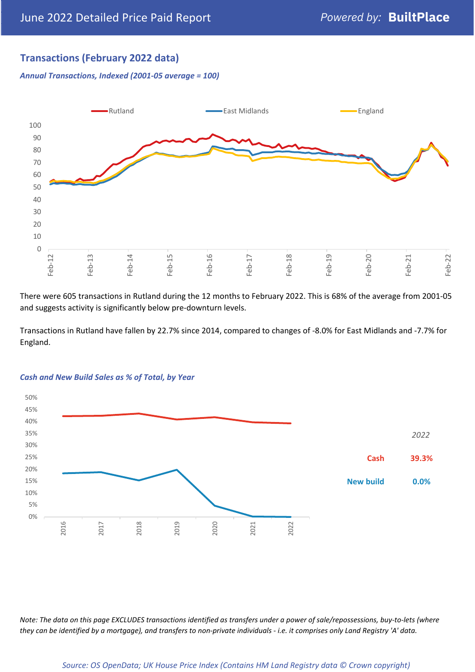# **Transactions (February 2022 data)**

*Annual Transactions, Indexed (2001-05 average = 100)*



There were 605 transactions in Rutland during the 12 months to February 2022. This is 68% of the average from 2001-05 and suggests activity is significantly below pre-downturn levels.

Transactions in Rutland have fallen by 22.7% since 2014, compared to changes of -8.0% for East Midlands and -7.7% for England.



#### *Cash and New Build Sales as % of Total, by Year*

*Note: The data on this page EXCLUDES transactions identified as transfers under a power of sale/repossessions, buy-to-lets (where they can be identified by a mortgage), and transfers to non-private individuals - i.e. it comprises only Land Registry 'A' data.*